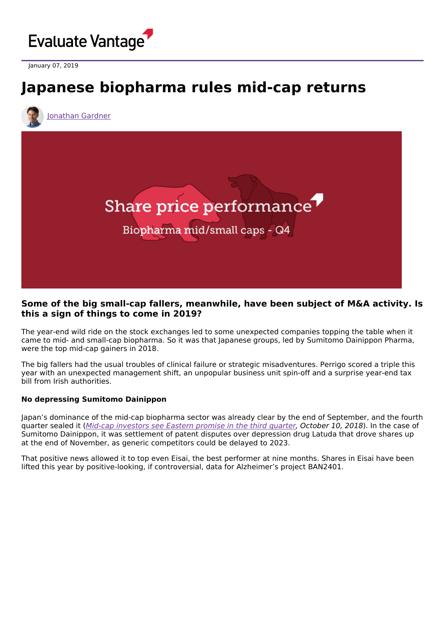

January 07, 2019

# **Japanese biopharma rules mid-cap returns**

[Jonathan](https://www.evaluate.com/vantage/editorial-team/jonathan-gardner) Gardner



## **Some of the big small-cap fallers, meanwhile, have been subject of M&A activity. Is this a sign of things to come in 2019?**

The year-end wild ride on the stock exchanges led to some unexpected companies topping the table when it came to mid- and small-cap biopharma. So it was that Japanese groups, led by Sumitomo Dainippon Pharma, were the top mid-cap gainers in 2018.

The big fallers had the usual troubles of clinical failure or strategic misadventures. Perrigo scored a triple this year with an unexpected management shift, an unpopular business unit spin-off and a surprise year-end tax bill from Irish authorities.

#### **No depressing Sumitomo Dainippon**

Japan's dominance of the mid-cap biopharma sector was already clear by the end of September, and the fourth quarter sealed it (Mid-cap [investors](https://www.evaluate.com/vantage/articles/data-insights/quarterly-shareprice-performance/mid-cap-investors-see-eastern) see Eastern promise in the third quarter, October 10, 2018). In the case of Sumitomo Dainippon, it was settlement of patent disputes over depression drug Latuda that drove shares up at the end of November, as generic competitors could be delayed to 2023.

That positive news allowed it to top even Eisai, the best performer at nine months. Shares in Eisai have been lifted this year by positive-looking, if controversial, data for Alzheimer's project BAN2401.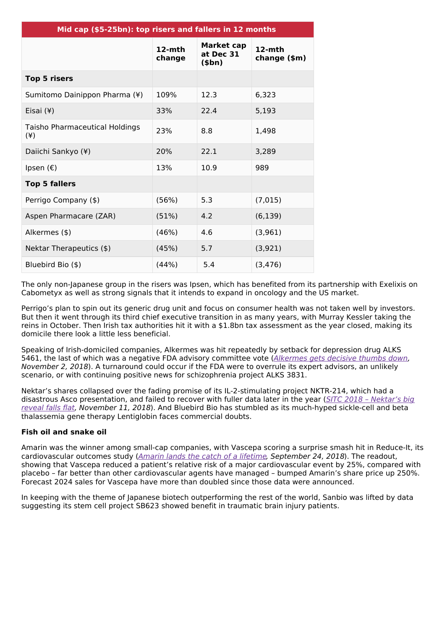| Mid cap (\$5-25bn): top risers and fallers in 12 months |                     |                                     |                           |  |
|---------------------------------------------------------|---------------------|-------------------------------------|---------------------------|--|
|                                                         | $12$ -mth<br>change | Market cap<br>at Dec 31<br>$(\$bn)$ | $12-$ mth<br>change (\$m) |  |
| <b>Top 5 risers</b>                                     |                     |                                     |                           |  |
| Sumitomo Dainippon Pharma (¥)                           | 109%                | 12.3                                | 6,323                     |  |
| Eisai (¥)                                               | 33%                 | 22.4                                | 5,193                     |  |
| Taisho Pharmaceutical Holdings<br>$(*)$                 | 23%                 | 8.8                                 | 1,498                     |  |
| Daiichi Sankyo (¥)                                      | 20%                 | 22.1                                | 3,289                     |  |
| Ipsen $(\epsilon)$                                      | 13%                 | 10.9                                | 989                       |  |
| <b>Top 5 fallers</b>                                    |                     |                                     |                           |  |
| Perrigo Company (\$)                                    | (56%)               | 5.3                                 | (7,015)                   |  |
| Aspen Pharmacare (ZAR)                                  | (51%)               | 4.2                                 | (6, 139)                  |  |
| Alkermes (\$)                                           | (46%)               | 4.6                                 | (3,961)                   |  |
| Nektar Therapeutics (\$)                                | (45%)               | 5.7                                 | (3,921)                   |  |
| Bluebird Bio (\$)                                       | (44%)               | 5.4                                 | (3, 476)                  |  |

The only non-Japanese group in the risers was Ipsen, which has benefited from its partnership with Exelixis on Cabometyx as well as strong signals that it intends to expand in oncology and the US market.

Perrigo's plan to spin out its generic drug unit and focus on consumer health was not taken well by investors. But then it went through its third chief executive transition in as many years, with Murray Kessler taking the reins in October. Then Irish tax authorities hit it with a \$1.8bn tax assessment as the year closed, making its domicile there look a little less beneficial.

Speaking of Irish-domiciled companies, Alkermes was hit repeatedly by setback for depression drug ALKS 5461, the last of which was a negative FDA advisory committee vote ([Alkermes](https://www.evaluate.com/vantage/articles/news/corporate-strategy/alkermes-gets-decisive-thumbs-down) gets decisive thumbs down, November 2, 2018). A turnaround could occur if the FDA were to overrule its expert advisors, an unlikely scenario, or with continuing positive news for schizophrenia project ALKS 3831.

Nektar's shares collapsed over the fading promise of its IL-2-stimulating project NKTR-214, which had a disastrous Asco [presentation,](https://www.evaluate.com/vantage/articles/events/conferences/sitc-2018-nektars-big-reveal-falls-flat) and failed to recover with fuller data later in the year (SITC 2018 - Nektar's big reveal falls flat, November 11, 2018). And Bluebird Bio has stumbled as its much-hyped sickle-cell and beta thalassemia gene therapy Lentiglobin faces commercial doubts.

### **Fish oil and snake oil**

Amarin was the winner among small-cap companies, with Vascepa scoring a surprise smash hit in Reduce-It, its cardiovascular outcomes study (Amarin lands the catch of a [lifetime](https://www.evaluate.com/vantage/articles/news/trial-results/amarin-lands-catch-lifetime), September 24, 2018). The readout, showing that Vascepa reduced a patient's relative risk of a major cardiovascular event by 25%, compared with placebo – far better than other cardiovascular agents have managed – bumped Amarin's share price up 250%. Forecast 2024 sales for Vascepa have more than doubled since those data were announced.

In keeping with the theme of Japanese biotech outperforming the rest of the world, Sanbio was lifted by data suggesting its stem cell project SB623 showed benefit in traumatic brain injury patients.